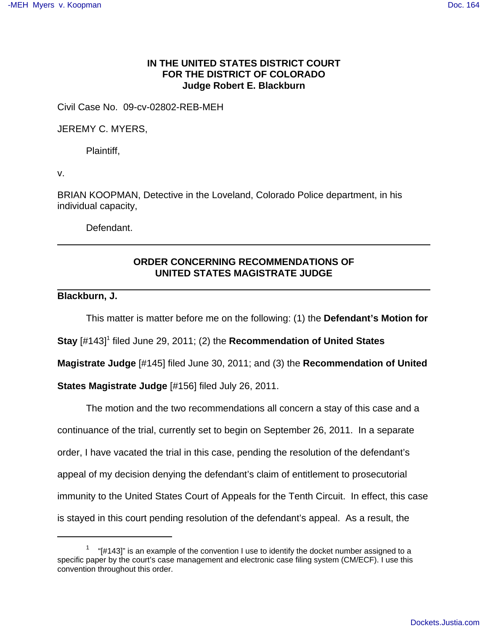## **IN THE UNITED STATES DISTRICT COURT FOR THE DISTRICT OF COLORADO Judge Robert E. Blackburn**

Civil Case No. 09-cv-02802-REB-MEH

JEREMY C. MYERS,

Plaintiff,

v.

BRIAN KOOPMAN, Detective in the Loveland, Colorado Police department, in his individual capacity,

Defendant.

## **ORDER CONCERNING RECOMMENDATIONS OF UNITED STATES MAGISTRATE JUDGE**

## **Blackburn, J.**

This matter is matter before me on the following: (1) the **Defendant's Motion for**

**Stay** [#143]<sup>1</sup> filed June 29, 2011; (2) the **Recommendation of United States** 

**Magistrate Judge** [#145] filed June 30, 2011; and (3) the **Recommendation of United**

**States Magistrate Judge** [#156] filed July 26, 2011.

The motion and the two recommendations all concern a stay of this case and a continuance of the trial, currently set to begin on September 26, 2011. In a separate order, I have vacated the trial in this case, pending the resolution of the defendant's appeal of my decision denying the defendant's claim of entitlement to prosecutorial immunity to the United States Court of Appeals for the Tenth Circuit. In effect, this case is stayed in this court pending resolution of the defendant's appeal. As a result, the

 $1$  "[#143]" is an example of the convention I use to identify the docket number assigned to a specific paper by the court's case management and electronic case filing system (CM/ECF). I use this convention throughout this order.